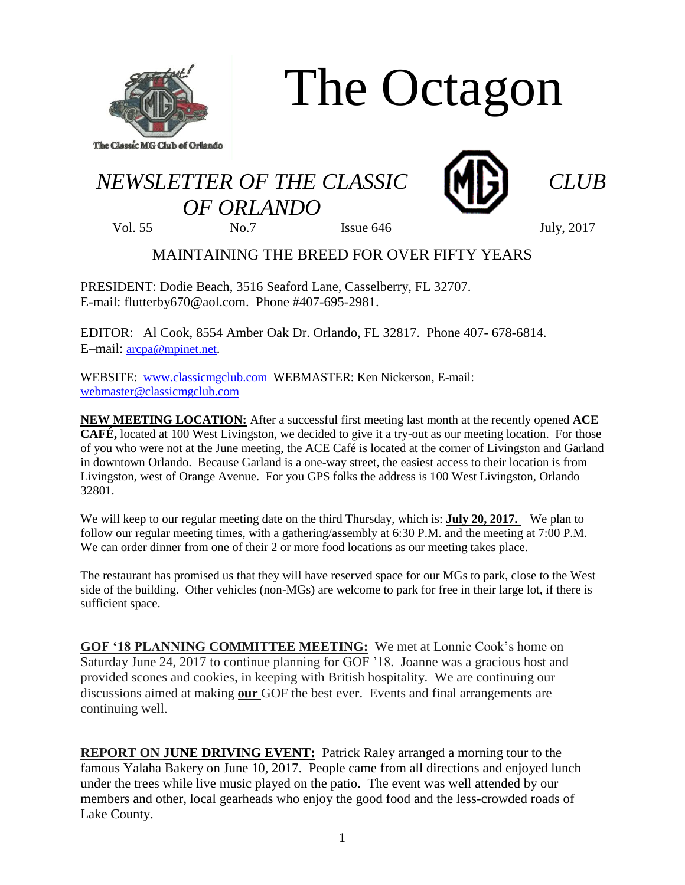

The Octagon

## *NEWSLETTER OF THE CLASSIC CLUB OF ORLANDO*



Vol. 55 No.7 Issue 646 July, 2017

## MAINTAINING THE BREED FOR OVER FIFTY YEARS

PRESIDENT: Dodie Beach, 3516 Seaford Lane, Casselberry, FL 32707. E-mail: flutterby670@aol.com. Phone #407-695-2981.

EDITOR: Al Cook, 8554 Amber Oak Dr. Orlando, FL 32817. Phone 407- 678-6814. E–mail: [arcpa@mpinet.net](mailto:arcpa@mpinet.net).

WEBSITE: [www.classicmgclub.com](http://www.classicmgclub.com/) WEBMASTER: Ken Nickerson, E-mail: [webmaster@classicmgclub.com](mailto:webmaster@classicmgclub.com)

**NEW MEETING LOCATION:** After a successful first meeting last month at the recently opened **ACE CAFÉ,** located at 100 West Livingston, we decided to give it a try-out as our meeting location. For those of you who were not at the June meeting, the ACE Café is located at the corner of Livingston and Garland in downtown Orlando. Because Garland is a one-way street, the easiest access to their location is from Livingston, west of Orange Avenue. For you GPS folks the address is 100 West Livingston, Orlando 32801.

We will keep to our regular meeting date on the third Thursday, which is: **July 20, 2017.** We plan to follow our regular meeting times, with a gathering/assembly at 6:30 P.M. and the meeting at 7:00 P.M. We can order dinner from one of their 2 or more food locations as our meeting takes place.

The restaurant has promised us that they will have reserved space for our MGs to park, close to the West side of the building. Other vehicles (non-MGs) are welcome to park for free in their large lot, if there is sufficient space.

**GOF '18 PLANNING COMMITTEE MEETING:** We met at Lonnie Cook's home on Saturday June 24, 2017 to continue planning for GOF '18. Joanne was a gracious host and provided scones and cookies, in keeping with British hospitality. We are continuing our discussions aimed at making **our** GOF the best ever. Events and final arrangements are continuing well.

**REPORT ON JUNE DRIVING EVENT:** Patrick Raley arranged a morning tour to the famous Yalaha Bakery on June 10, 2017. People came from all directions and enjoyed lunch under the trees while live music played on the patio. The event was well attended by our members and other, local gearheads who enjoy the good food and the less-crowded roads of Lake County.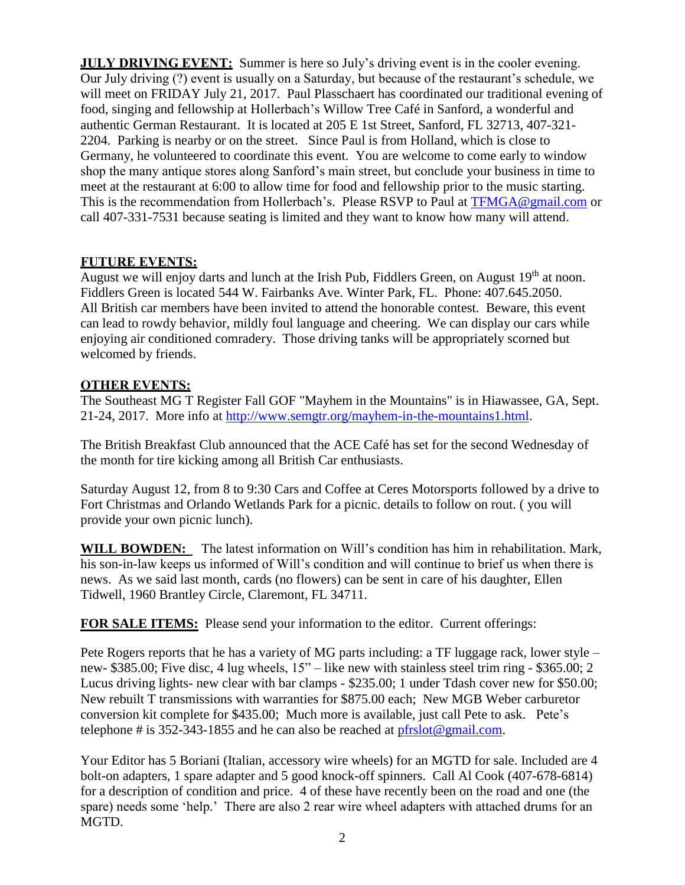**JULY DRIVING EVENT:** Summer is here so July's driving event is in the cooler evening. Our July driving (?) event is usually on a Saturday, but because of the restaurant's schedule, we will meet on FRIDAY July 21, 2017. Paul Plasschaert has coordinated our traditional evening of food, singing and fellowship at Hollerbach's Willow Tree Café in Sanford, a wonderful and authentic German Restaurant. It is located at [205 E 1st Street, Sanford, FL](http://maps.google.com/maps?z=16&q=205+e+1st+street+sanford,+fl+32713) 32713, 407-321- 2204. Parking is nearby or on the street. Since Paul is from Holland, which is close to Germany, he volunteered to coordinate this event. You are welcome to come early to window shop the many antique stores along Sanford's main street, but conclude your business in time to meet at the restaurant at 6:00 to allow time for food and fellowship prior to the music starting. This is the recommendation from Hollerbach's. Please RSVP to Paul at [TFMGA@gmail.com](mailto:TFMGA@gmail.com) or call 407-331-7531 because seating is limited and they want to know how many will attend.

## **FUTURE EVENTS:**

August we will enjoy darts and lunch at the Irish Pub, Fiddlers Green, on August 19<sup>th</sup> at noon. Fiddlers Green is located 544 W. Fairbanks Ave. Winter Park, FL. Phone: 407.645.2050. All British car members have been invited to attend the honorable contest. Beware, this event can lead to rowdy behavior, mildly foul language and cheering. We can display our cars while enjoying air conditioned comradery. Those driving tanks will be appropriately scorned but welcomed by friends.

## **OTHER EVENTS:**

The Southeast MG T Register Fall GOF "Mayhem in the Mountains" is in Hiawassee, GA, Sept. 21-24, 2017. More info at [http://www.semgtr.org/mayhem-in-the-mountains1.html.](http://www.semgtr.org/mayhem-in-the-mountains1.html)

The British Breakfast Club announced that the ACE Café has set for the second Wednesday of the month for tire kicking among all British Car enthusiasts.

Saturday August 12, from 8 to 9:30 Cars and Coffee at Ceres Motorsports followed by a drive to Fort Christmas and Orlando Wetlands Park for a picnic. details to follow on rout. ( you will provide your own picnic lunch).

WILL BOWDEN: The latest information on Will's condition has him in rehabilitation. Mark, his son-in-law keeps us informed of Will's condition and will continue to brief us when there is news. As we said last month, cards (no flowers) can be sent in care of his daughter, Ellen Tidwell, 1960 Brantley Circle, Claremont, FL 34711.

**FOR SALE ITEMS:** Please send your information to the editor. Current offerings:

Pete Rogers reports that he has a variety of MG parts including: a TF luggage rack, lower style – new- \$385.00; Five disc, 4 lug wheels, 15" – like new with stainless steel trim ring - \$365.00; 2 Lucus driving lights- new clear with bar clamps - \$235.00; 1 under Tdash cover new for \$50.00; New rebuilt T transmissions with warranties for \$875.00 each; New MGB Weber carburetor conversion kit complete for \$435.00; Much more is available, just call Pete to ask. Pete's telephone # is 352-343-1855 and he can also be reached at  $pfrslot@gmail.com$ .

Your Editor has 5 Boriani (Italian, accessory wire wheels) for an MGTD for sale. Included are 4 bolt-on adapters, 1 spare adapter and 5 good knock-off spinners. Call Al Cook (407-678-6814) for a description of condition and price. 4 of these have recently been on the road and one (the spare) needs some 'help.' There are also 2 rear wire wheel adapters with attached drums for an MGTD.